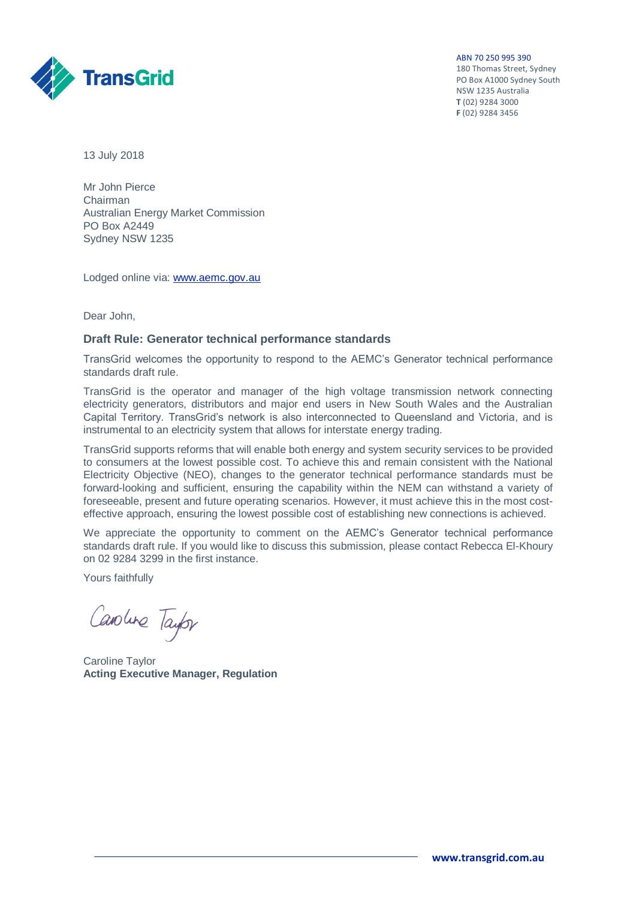ABN 70 250 995 390

180 Thomas Street, Sydney PO Box A1000 Sydney South NSW 1235 Australia **T** (02) 9284 3000 **F** (02) 9284 3456



13 July 2018

Mr John Pierce Chairman Australian Energy Market Commission PO Box A2449 Sydney NSW 1235

Lodged online via: [www.aemc.gov.au](http://www.aemc.gov.au/)

Dear John,

#### **Draft Rule: Generator technical performance standards**

TransGrid welcomes the opportunity to respond to the AEMC's Generator technical performance standards draft rule.

TransGrid is the operator and manager of the high voltage transmission network connecting electricity generators, distributors and major end users in New South Wales and the Australian Capital Territory. TransGrid's network is also interconnected to Queensland and Victoria, and is instrumental to an electricity system that allows for interstate energy trading.

TransGrid supports reforms that will enable both energy and system security services to be provided to consumers at the lowest possible cost. To achieve this and remain consistent with the National Electricity Objective (NEO), changes to the generator technical performance standards must be forward-looking and sufficient, ensuring the capability within the NEM can withstand a variety of foreseeable, present and future operating scenarios. However, it must achieve this in the most costeffective approach, ensuring the lowest possible cost of establishing new connections is achieved.

We appreciate the opportunity to comment on the AEMC's Generator technical performance standards draft rule. If you would like to discuss this submission, please contact Rebecca El-Khoury on 02 9284 3299 in the first instance.

Yours faithfully

Cavolune Taylor

Caroline Taylor **Acting Executive Manager, Regulation**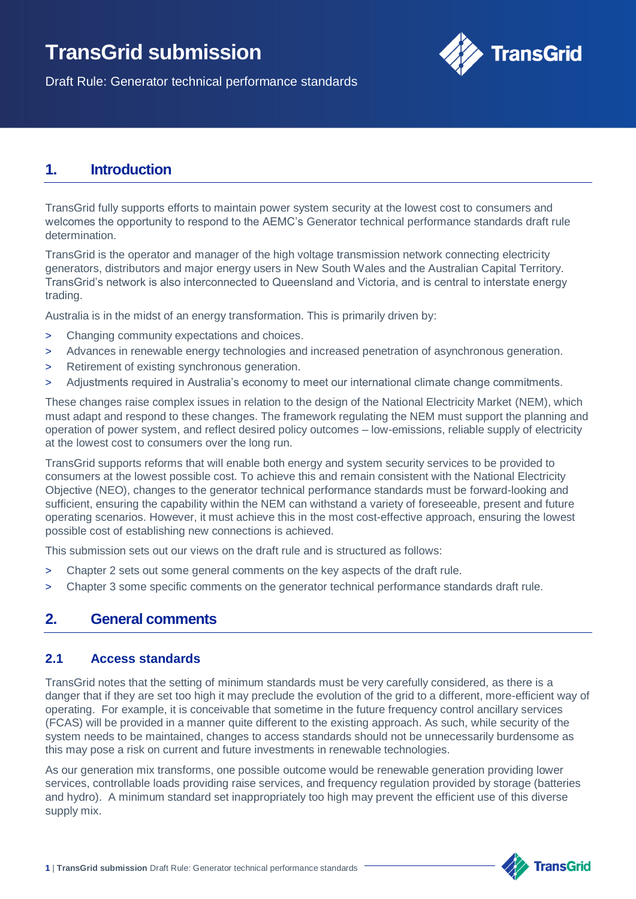# **TransGrid submission**



Draft Rule: Generator technical performance standards

## **1. Introduction**

TransGrid fully supports efforts to maintain power system security at the lowest cost to consumers and welcomes the opportunity to respond to the AEMC's Generator technical performance standards draft rule determination.

TransGrid is the operator and manager of the high voltage transmission network connecting electricity generators, distributors and major energy users in New South Wales and the Australian Capital Territory. TransGrid's network is also interconnected to Queensland and Victoria, and is central to interstate energy trading.

Australia is in the midst of an energy transformation. This is primarily driven by:

- > Changing community expectations and choices.
- > Advances in renewable energy technologies and increased penetration of asynchronous generation.
- > Retirement of existing synchronous generation.
- Adjustments required in Australia's economy to meet our international climate change commitments.

These changes raise complex issues in relation to the design of the National Electricity Market (NEM), which must adapt and respond to these changes. The framework regulating the NEM must support the planning and operation of power system, and reflect desired policy outcomes – low-emissions, reliable supply of electricity at the lowest cost to consumers over the long run.

TransGrid supports reforms that will enable both energy and system security services to be provided to consumers at the lowest possible cost. To achieve this and remain consistent with the National Electricity Objective (NEO), changes to the generator technical performance standards must be forward-looking and sufficient, ensuring the capability within the NEM can withstand a variety of foreseeable, present and future operating scenarios. However, it must achieve this in the most cost-effective approach, ensuring the lowest possible cost of establishing new connections is achieved.

This submission sets out our views on the draft rule and is structured as follows:

- > Chapter 2 sets out some general comments on the key aspects of the draft rule.
- > Chapter 3 some specific comments on the generator technical performance standards draft rule.

## **2. General comments**

#### **2.1 Access standards**

TransGrid notes that the setting of minimum standards must be very carefully considered, as there is a danger that if they are set too high it may preclude the evolution of the grid to a different, more-efficient way of operating. For example, it is conceivable that sometime in the future frequency control ancillary services (FCAS) will be provided in a manner quite different to the existing approach. As such, while security of the system needs to be maintained, changes to access standards should not be unnecessarily burdensome as this may pose a risk on current and future investments in renewable technologies.

As our generation mix transforms, one possible outcome would be renewable generation providing lower services, controllable loads providing raise services, and frequency regulation provided by storage (batteries and hydro). A minimum standard set inappropriately too high may prevent the efficient use of this diverse supply mix.

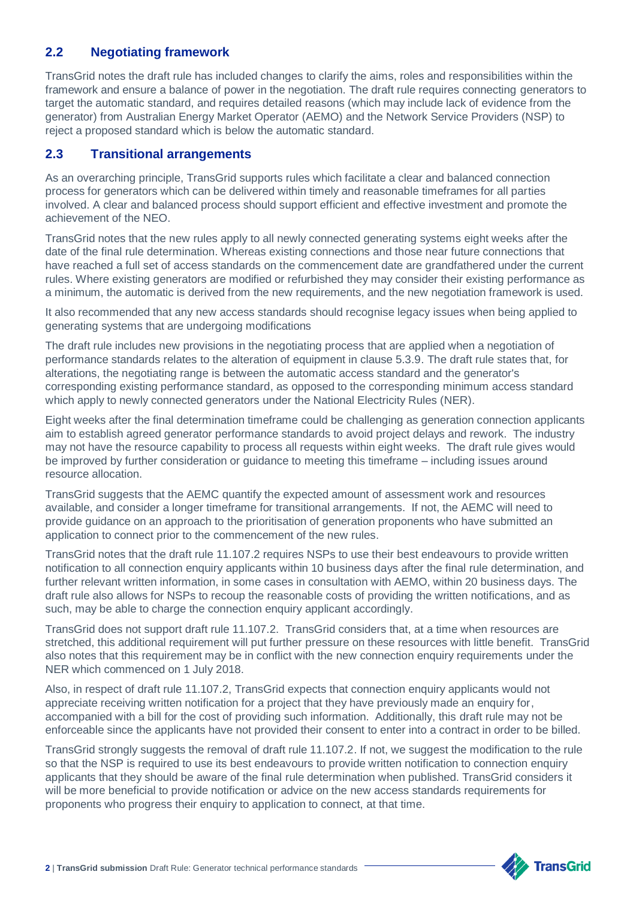### **2.2 Negotiating framework**

TransGrid notes the draft rule has included changes to clarify the aims, roles and responsibilities within the framework and ensure a balance of power in the negotiation. The draft rule requires connecting generators to target the automatic standard, and requires detailed reasons (which may include lack of evidence from the generator) from Australian Energy Market Operator (AEMO) and the Network Service Providers (NSP) to reject a proposed standard which is below the automatic standard.

#### **2.3 Transitional arrangements**

As an overarching principle, TransGrid supports rules which facilitate a clear and balanced connection process for generators which can be delivered within timely and reasonable timeframes for all parties involved. A clear and balanced process should support efficient and effective investment and promote the achievement of the NEO.

TransGrid notes that the new rules apply to all newly connected generating systems eight weeks after the date of the final rule determination. Whereas existing connections and those near future connections that have reached a full set of access standards on the commencement date are grandfathered under the current rules. Where existing generators are modified or refurbished they may consider their existing performance as a minimum, the automatic is derived from the new requirements, and the new negotiation framework is used.

It also recommended that any new access standards should recognise legacy issues when being applied to generating systems that are undergoing modifications

The draft rule includes new provisions in the negotiating process that are applied when a negotiation of performance standards relates to the alteration of equipment in clause 5.3.9. The draft rule states that, for alterations, the negotiating range is between the automatic access standard and the generator's corresponding existing performance standard, as opposed to the corresponding minimum access standard which apply to newly connected generators under the National Electricity Rules (NER).

Eight weeks after the final determination timeframe could be challenging as generation connection applicants aim to establish agreed generator performance standards to avoid project delays and rework. The industry may not have the resource capability to process all requests within eight weeks. The draft rule gives would be improved by further consideration or guidance to meeting this timeframe – including issues around resource allocation.

TransGrid suggests that the AEMC quantify the expected amount of assessment work and resources available, and consider a longer timeframe for transitional arrangements. If not, the AEMC will need to provide guidance on an approach to the prioritisation of generation proponents who have submitted an application to connect prior to the commencement of the new rules.

TransGrid notes that the draft rule 11.107.2 requires NSPs to use their best endeavours to provide written notification to all connection enquiry applicants within 10 business days after the final rule determination, and further relevant written information, in some cases in consultation with AEMO, within 20 business days. The draft rule also allows for NSPs to recoup the reasonable costs of providing the written notifications, and as such, may be able to charge the connection enquiry applicant accordingly.

TransGrid does not support draft rule 11.107.2. TransGrid considers that, at a time when resources are stretched, this additional requirement will put further pressure on these resources with little benefit. TransGrid also notes that this requirement may be in conflict with the new connection enquiry requirements under the NER which commenced on 1 July 2018.

Also, in respect of draft rule 11.107.2, TransGrid expects that connection enquiry applicants would not appreciate receiving written notification for a project that they have previously made an enquiry for, accompanied with a bill for the cost of providing such information. Additionally, this draft rule may not be enforceable since the applicants have not provided their consent to enter into a contract in order to be billed.

TransGrid strongly suggests the removal of draft rule 11.107.2. If not, we suggest the modification to the rule so that the NSP is required to use its best endeavours to provide written notification to connection enquiry applicants that they should be aware of the final rule determination when published. TransGrid considers it will be more beneficial to provide notification or advice on the new access standards requirements for proponents who progress their enquiry to application to connect, at that time.



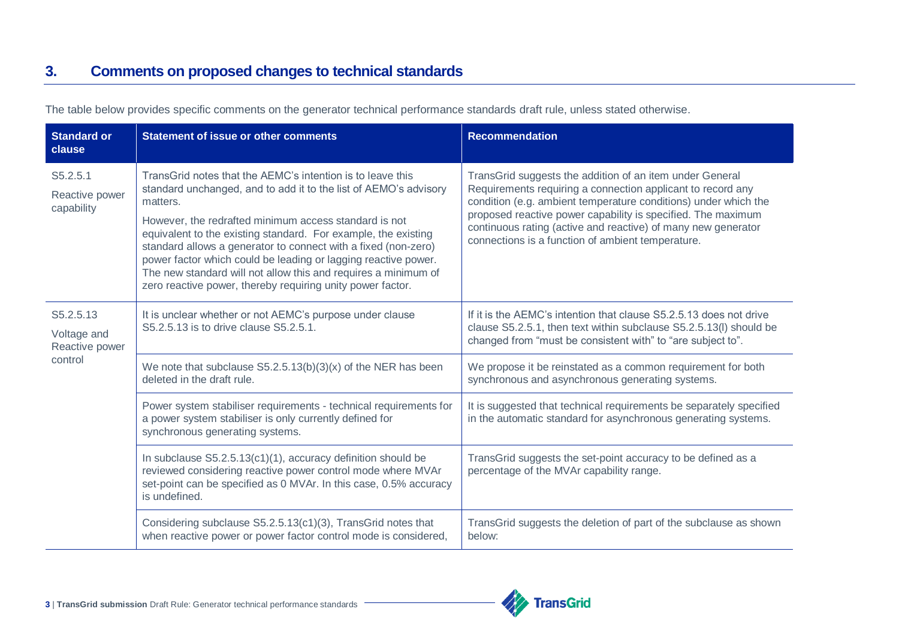| <b>Standard or</b><br>clause               | <b>Statement of issue or other comments</b>                                                                                                                                                                                                                                                                                                                                                                                                                                                                                               | <b>Recommendation</b>                                                                                                                                                                                                                                                                                                                                                            |
|--------------------------------------------|-------------------------------------------------------------------------------------------------------------------------------------------------------------------------------------------------------------------------------------------------------------------------------------------------------------------------------------------------------------------------------------------------------------------------------------------------------------------------------------------------------------------------------------------|----------------------------------------------------------------------------------------------------------------------------------------------------------------------------------------------------------------------------------------------------------------------------------------------------------------------------------------------------------------------------------|
| S5.2.5.1<br>Reactive power<br>capability   | TransGrid notes that the AEMC's intention is to leave this<br>standard unchanged, and to add it to the list of AEMO's advisory<br>matters.<br>However, the redrafted minimum access standard is not<br>equivalent to the existing standard. For example, the existing<br>standard allows a generator to connect with a fixed (non-zero)<br>power factor which could be leading or lagging reactive power.<br>The new standard will not allow this and requires a minimum of<br>zero reactive power, thereby requiring unity power factor. | TransGrid suggests the addition of an item under General<br>Requirements requiring a connection applicant to record any<br>condition (e.g. ambient temperature conditions) under which the<br>proposed reactive power capability is specified. The maximum<br>continuous rating (active and reactive) of many new generator<br>connections is a function of ambient temperature. |
| S5.2.5.13<br>Voltage and<br>Reactive power | It is unclear whether or not AEMC's purpose under clause<br>S5.2.5.13 is to drive clause S5.2.5.1.                                                                                                                                                                                                                                                                                                                                                                                                                                        | If it is the AEMC's intention that clause S5.2.5.13 does not drive<br>clause S5.2.5.1, then text within subclause S5.2.5.13(I) should be<br>changed from "must be consistent with" to "are subject to".                                                                                                                                                                          |
| control                                    | We note that subclause $S5.2.5.13(b)(3)(x)$ of the NER has been<br>deleted in the draft rule.                                                                                                                                                                                                                                                                                                                                                                                                                                             | We propose it be reinstated as a common requirement for both<br>synchronous and asynchronous generating systems.                                                                                                                                                                                                                                                                 |
|                                            | Power system stabiliser requirements - technical requirements for<br>a power system stabiliser is only currently defined for<br>synchronous generating systems.                                                                                                                                                                                                                                                                                                                                                                           | It is suggested that technical requirements be separately specified<br>in the automatic standard for asynchronous generating systems.                                                                                                                                                                                                                                            |
|                                            | In subclause S5.2.5.13(c1)(1), accuracy definition should be<br>reviewed considering reactive power control mode where MVAr<br>set-point can be specified as 0 MVAr. In this case, 0.5% accuracy<br>is undefined.                                                                                                                                                                                                                                                                                                                         | TransGrid suggests the set-point accuracy to be defined as a<br>percentage of the MVAr capability range.                                                                                                                                                                                                                                                                         |
|                                            | Considering subclause S5.2.5.13(c1)(3), TransGrid notes that<br>when reactive power or power factor control mode is considered,                                                                                                                                                                                                                                                                                                                                                                                                           | TransGrid suggests the deletion of part of the subclause as shown<br>below:                                                                                                                                                                                                                                                                                                      |

The table below provides specific comments on the generator technical performance standards draft rule, unless stated otherwise.

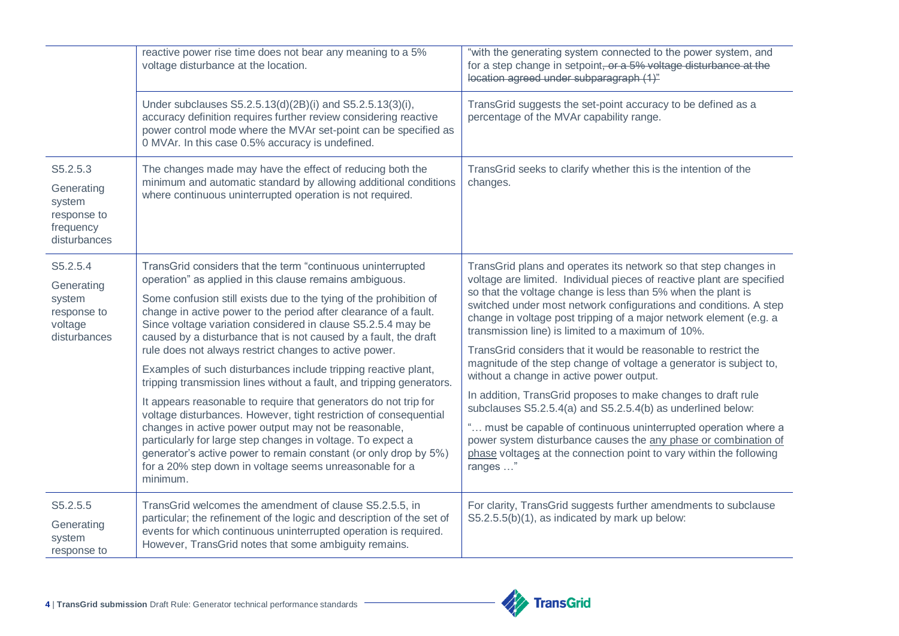|                                                                              | reactive power rise time does not bear any meaning to a 5%<br>voltage disturbance at the location.                                                                                                                                                                                                                                                                                                                                                                                                                                                                                                                                                                                                                                                                                                                                                                                                                                                                                                                    | "with the generating system connected to the power system, and<br>for a step change in setpoint, or a 5% voltage disturbance at the<br>location agreed under subparagraph (1)"                                                                                                                                                                                                                                                                                                                                                                                                                                                                                                                                                                                                                                                                                                                                                                            |
|------------------------------------------------------------------------------|-----------------------------------------------------------------------------------------------------------------------------------------------------------------------------------------------------------------------------------------------------------------------------------------------------------------------------------------------------------------------------------------------------------------------------------------------------------------------------------------------------------------------------------------------------------------------------------------------------------------------------------------------------------------------------------------------------------------------------------------------------------------------------------------------------------------------------------------------------------------------------------------------------------------------------------------------------------------------------------------------------------------------|-----------------------------------------------------------------------------------------------------------------------------------------------------------------------------------------------------------------------------------------------------------------------------------------------------------------------------------------------------------------------------------------------------------------------------------------------------------------------------------------------------------------------------------------------------------------------------------------------------------------------------------------------------------------------------------------------------------------------------------------------------------------------------------------------------------------------------------------------------------------------------------------------------------------------------------------------------------|
|                                                                              | Under subclauses S5.2.5.13(d)(2B)(i) and S5.2.5.13(3)(i),<br>accuracy definition requires further review considering reactive<br>power control mode where the MVAr set-point can be specified as<br>0 MVAr. In this case 0.5% accuracy is undefined.                                                                                                                                                                                                                                                                                                                                                                                                                                                                                                                                                                                                                                                                                                                                                                  | TransGrid suggests the set-point accuracy to be defined as a<br>percentage of the MVAr capability range.                                                                                                                                                                                                                                                                                                                                                                                                                                                                                                                                                                                                                                                                                                                                                                                                                                                  |
| S5.2.5.3<br>Generating<br>system<br>response to<br>frequency<br>disturbances | The changes made may have the effect of reducing both the<br>minimum and automatic standard by allowing additional conditions<br>where continuous uninterrupted operation is not required.                                                                                                                                                                                                                                                                                                                                                                                                                                                                                                                                                                                                                                                                                                                                                                                                                            | TransGrid seeks to clarify whether this is the intention of the<br>changes.                                                                                                                                                                                                                                                                                                                                                                                                                                                                                                                                                                                                                                                                                                                                                                                                                                                                               |
| S5.2.5.4<br>Generating<br>system<br>response to<br>voltage<br>disturbances   | TransGrid considers that the term "continuous uninterrupted<br>operation" as applied in this clause remains ambiguous.<br>Some confusion still exists due to the tying of the prohibition of<br>change in active power to the period after clearance of a fault.<br>Since voltage variation considered in clause S5.2.5.4 may be<br>caused by a disturbance that is not caused by a fault, the draft<br>rule does not always restrict changes to active power.<br>Examples of such disturbances include tripping reactive plant,<br>tripping transmission lines without a fault, and tripping generators.<br>It appears reasonable to require that generators do not trip for<br>voltage disturbances. However, tight restriction of consequential<br>changes in active power output may not be reasonable,<br>particularly for large step changes in voltage. To expect a<br>generator's active power to remain constant (or only drop by 5%)<br>for a 20% step down in voltage seems unreasonable for a<br>minimum. | TransGrid plans and operates its network so that step changes in<br>voltage are limited. Individual pieces of reactive plant are specified<br>so that the voltage change is less than 5% when the plant is<br>switched under most network configurations and conditions. A step<br>change in voltage post tripping of a major network element (e.g. a<br>transmission line) is limited to a maximum of 10%.<br>TransGrid considers that it would be reasonable to restrict the<br>magnitude of the step change of voltage a generator is subject to,<br>without a change in active power output.<br>In addition, TransGrid proposes to make changes to draft rule<br>subclauses S5.2.5.4(a) and S5.2.5.4(b) as underlined below:<br>" must be capable of continuous uninterrupted operation where a<br>power system disturbance causes the any phase or combination of<br>phase voltages at the connection point to vary within the following<br>ranges " |
| S5.2.5.5<br>Generating<br>system<br>response to                              | TransGrid welcomes the amendment of clause S5.2.5.5, in<br>particular; the refinement of the logic and description of the set of<br>events for which continuous uninterrupted operation is required.<br>However, TransGrid notes that some ambiguity remains.                                                                                                                                                                                                                                                                                                                                                                                                                                                                                                                                                                                                                                                                                                                                                         | For clarity, TransGrid suggests further amendments to subclause<br>S5.2.5.5(b)(1), as indicated by mark up below:                                                                                                                                                                                                                                                                                                                                                                                                                                                                                                                                                                                                                                                                                                                                                                                                                                         |

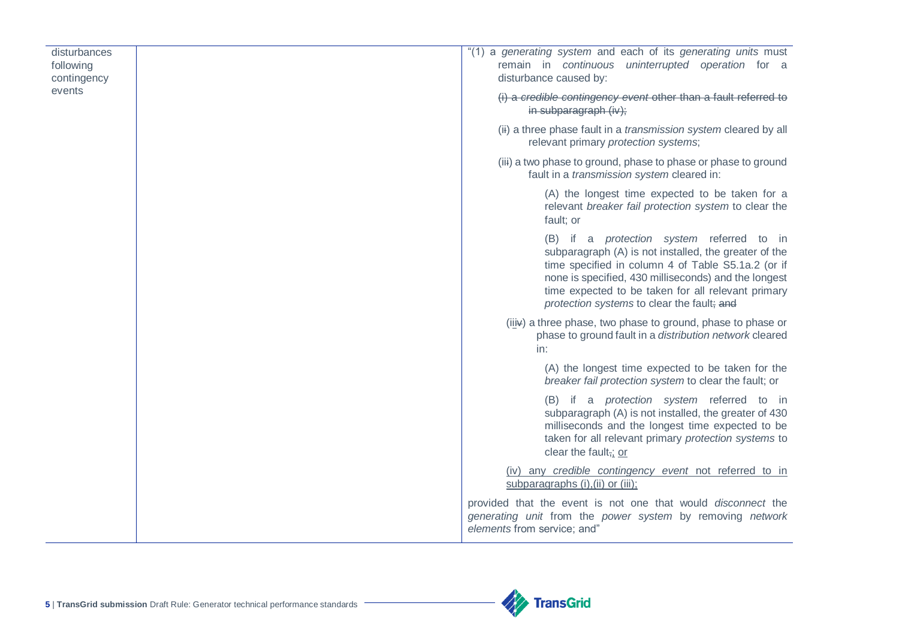| disturbances<br>following<br>contingency | "(1) a generating system and each of its generating units must<br>remain in continuous uninterrupted operation for a<br>disturbance caused by:                                                                                                                                                                              |
|------------------------------------------|-----------------------------------------------------------------------------------------------------------------------------------------------------------------------------------------------------------------------------------------------------------------------------------------------------------------------------|
| events                                   | (i) a credible contingency event other than a fault referred to<br>in subparagraph (iv);                                                                                                                                                                                                                                    |
|                                          | (ii) a three phase fault in a <i>transmission system</i> cleared by all<br>relevant primary protection systems;                                                                                                                                                                                                             |
|                                          | (iii) a two phase to ground, phase to phase or phase to ground<br>fault in a <i>transmission system</i> cleared in:                                                                                                                                                                                                         |
|                                          | (A) the longest time expected to be taken for a<br>relevant breaker fail protection system to clear the<br>fault; or                                                                                                                                                                                                        |
|                                          | (B) if a <i>protection</i> system referred to in<br>subparagraph (A) is not installed, the greater of the<br>time specified in column 4 of Table S5.1a.2 (or if<br>none is specified, 430 milliseconds) and the longest<br>time expected to be taken for all relevant primary<br>protection systems to clear the fault; and |
|                                          | (iiiv) a three phase, two phase to ground, phase to phase or<br>phase to ground fault in a distribution network cleared<br>in:                                                                                                                                                                                              |
|                                          | (A) the longest time expected to be taken for the<br>breaker fail protection system to clear the fault; or                                                                                                                                                                                                                  |
|                                          | (B) if a <i>protection</i> system referred to in<br>subparagraph (A) is not installed, the greater of 430<br>milliseconds and the longest time expected to be<br>taken for all relevant primary protection systems to<br>clear the fault <sub>7</sub> : or                                                                  |
|                                          | (iv) any credible contingency event not referred to in<br>subparagraphs (i), (ii) or (iii);                                                                                                                                                                                                                                 |
|                                          | provided that the event is not one that would disconnect the<br>generating unit from the power system by removing network<br>elements from service; and"                                                                                                                                                                    |

**Alle TransGrid**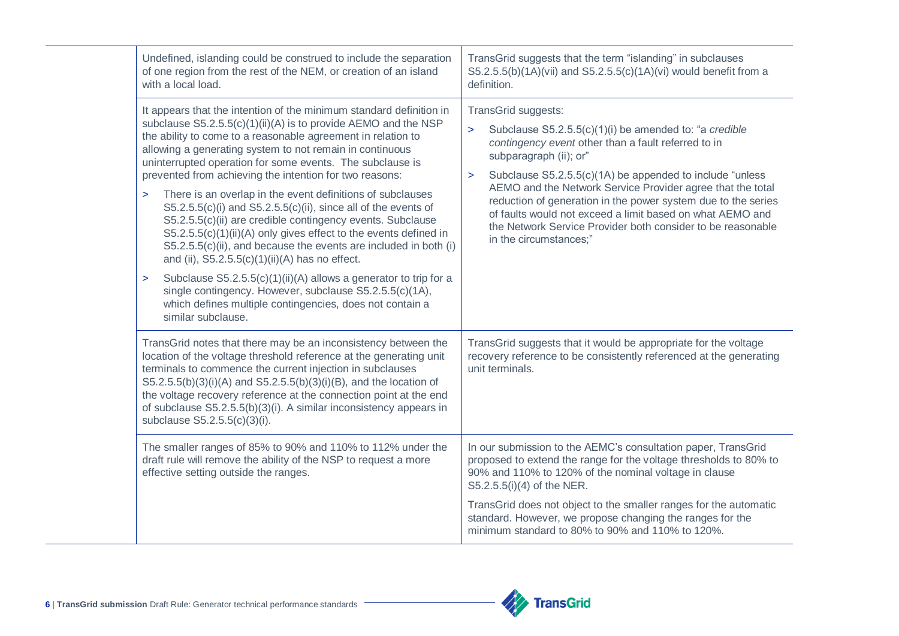| Undefined, islanding could be construed to include the separation<br>of one region from the rest of the NEM, or creation of an island<br>with a local load.                                                                                                                                                                                                                                                                                                                                                                                                                                                                                                                                                                                                                                                                                                                                                                                                                                                                   | TransGrid suggests that the term "islanding" in subclauses<br>S5.2.5.5(b)(1A)(vii) and S5.2.5.5(c)(1A)(vi) would benefit from a<br>definition.                                                                                                                                                                                                                                                                                                                                                                                      |
|-------------------------------------------------------------------------------------------------------------------------------------------------------------------------------------------------------------------------------------------------------------------------------------------------------------------------------------------------------------------------------------------------------------------------------------------------------------------------------------------------------------------------------------------------------------------------------------------------------------------------------------------------------------------------------------------------------------------------------------------------------------------------------------------------------------------------------------------------------------------------------------------------------------------------------------------------------------------------------------------------------------------------------|-------------------------------------------------------------------------------------------------------------------------------------------------------------------------------------------------------------------------------------------------------------------------------------------------------------------------------------------------------------------------------------------------------------------------------------------------------------------------------------------------------------------------------------|
| It appears that the intention of the minimum standard definition in<br>subclause S5.2.5.5(c)(1)(ii)(A) is to provide AEMO and the NSP<br>the ability to come to a reasonable agreement in relation to<br>allowing a generating system to not remain in continuous<br>uninterrupted operation for some events. The subclause is<br>prevented from achieving the intention for two reasons:<br>There is an overlap in the event definitions of subclauses<br>$\geq$<br>$S5.2.5.5(c)(i)$ and $S5.2.5.5(c)(ii)$ , since all of the events of<br>S5.2.5.5(c)(ii) are credible contingency events. Subclause<br>S5.2.5.5(c)(1)(ii)(A) only gives effect to the events defined in<br>S5.2.5.5(c)(ii), and because the events are included in both (i)<br>and (ii), $S5.2.5.5(c)(1)(ii)(A)$ has no effect.<br>Subclause S5.2.5.5(c)(1)(ii)(A) allows a generator to trip for a<br>$\geq$<br>single contingency. However, subclause S5.2.5.5(c)(1A),<br>which defines multiple contingencies, does not contain a<br>similar subclause. | TransGrid suggests:<br>Subclause S5.2.5.5(c)(1)(i) be amended to: "a credible<br>$\geq$<br>contingency event other than a fault referred to in<br>subparagraph (ii); or"<br>Subclause S5.2.5.5(c)(1A) be appended to include "unless<br>$\geq$<br>AEMO and the Network Service Provider agree that the total<br>reduction of generation in the power system due to the series<br>of faults would not exceed a limit based on what AEMO and<br>the Network Service Provider both consider to be reasonable<br>in the circumstances;" |
| TransGrid notes that there may be an inconsistency between the<br>location of the voltage threshold reference at the generating unit<br>terminals to commence the current injection in subclauses<br>S5.2.5.5(b)(3)(i)(A) and S5.2.5.5(b)(3)(i)(B), and the location of<br>the voltage recovery reference at the connection point at the end<br>of subclause S5.2.5.5(b)(3)(i). A similar inconsistency appears in<br>subclause S5.2.5.5(c)(3)(i).                                                                                                                                                                                                                                                                                                                                                                                                                                                                                                                                                                            | TransGrid suggests that it would be appropriate for the voltage<br>recovery reference to be consistently referenced at the generating<br>unit terminals.                                                                                                                                                                                                                                                                                                                                                                            |
| The smaller ranges of 85% to 90% and 110% to 112% under the<br>draft rule will remove the ability of the NSP to request a more<br>effective setting outside the ranges.                                                                                                                                                                                                                                                                                                                                                                                                                                                                                                                                                                                                                                                                                                                                                                                                                                                       | In our submission to the AEMC's consultation paper, TransGrid<br>proposed to extend the range for the voltage thresholds to 80% to<br>90% and 110% to 120% of the nominal voltage in clause<br>S5.2.5.5(i)(4) of the NER.                                                                                                                                                                                                                                                                                                           |
|                                                                                                                                                                                                                                                                                                                                                                                                                                                                                                                                                                                                                                                                                                                                                                                                                                                                                                                                                                                                                               | TransGrid does not object to the smaller ranges for the automatic<br>standard. However, we propose changing the ranges for the<br>minimum standard to 80% to 90% and 110% to 120%.                                                                                                                                                                                                                                                                                                                                                  |

**Alt** TransGrid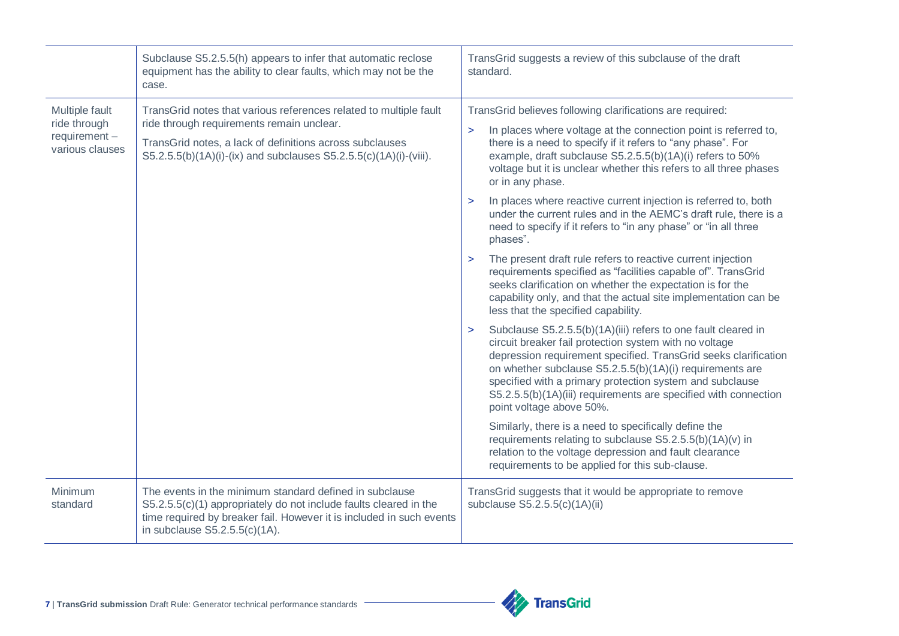|                                                                      | Subclause S5.2.5.5(h) appears to infer that automatic reclose<br>equipment has the ability to clear faults, which may not be the<br>case.                                                                                                       | TransGrid suggests a review of this subclause of the draft<br>standard.                                                                                                                                                                                                                                                                                                                                                                                                                                                                                                                                                                                                                                                                                                                                                                                                                                                                                                                                                                                                                                                                                                                                                                                                                                                                                                                                                                                                                                                                                                      |
|----------------------------------------------------------------------|-------------------------------------------------------------------------------------------------------------------------------------------------------------------------------------------------------------------------------------------------|------------------------------------------------------------------------------------------------------------------------------------------------------------------------------------------------------------------------------------------------------------------------------------------------------------------------------------------------------------------------------------------------------------------------------------------------------------------------------------------------------------------------------------------------------------------------------------------------------------------------------------------------------------------------------------------------------------------------------------------------------------------------------------------------------------------------------------------------------------------------------------------------------------------------------------------------------------------------------------------------------------------------------------------------------------------------------------------------------------------------------------------------------------------------------------------------------------------------------------------------------------------------------------------------------------------------------------------------------------------------------------------------------------------------------------------------------------------------------------------------------------------------------------------------------------------------------|
| Multiple fault<br>ride through<br>$requirement -$<br>various clauses | TransGrid notes that various references related to multiple fault<br>ride through requirements remain unclear.<br>TransGrid notes, a lack of definitions across subclauses<br>S5.2.5.5(b)(1A)(i)-(ix) and subclauses S5.2.5.5(c)(1A)(i)-(viii). | TransGrid believes following clarifications are required:<br>In places where voltage at the connection point is referred to,<br>$\geq$<br>there is a need to specify if it refers to "any phase". For<br>example, draft subclause S5.2.5.5(b)(1A)(i) refers to 50%<br>voltage but it is unclear whether this refers to all three phases<br>or in any phase.<br>In places where reactive current injection is referred to, both<br>$\geq$<br>under the current rules and in the AEMC's draft rule, there is a<br>need to specify if it refers to "in any phase" or "in all three<br>phases".<br>The present draft rule refers to reactive current injection<br>$\geq$<br>requirements specified as "facilities capable of". TransGrid<br>seeks clarification on whether the expectation is for the<br>capability only, and that the actual site implementation can be<br>less that the specified capability.<br>Subclause S5.2.5.5(b)(1A)(iii) refers to one fault cleared in<br>$\geq$<br>circuit breaker fail protection system with no voltage<br>depression requirement specified. TransGrid seeks clarification<br>on whether subclause S5.2.5.5(b)(1A)(i) requirements are<br>specified with a primary protection system and subclause<br>S5.2.5.5(b)(1A)(iii) requirements are specified with connection<br>point voltage above 50%.<br>Similarly, there is a need to specifically define the<br>requirements relating to subclause S5.2.5.5(b)(1A)(v) in<br>relation to the voltage depression and fault clearance<br>requirements to be applied for this sub-clause. |
| Minimum<br>standard                                                  | The events in the minimum standard defined in subclause<br>S5.2.5.5(c)(1) appropriately do not include faults cleared in the<br>time required by breaker fail. However it is included in such events<br>in subclause $S5.2.5.5(c)(1A)$ .        | TransGrid suggests that it would be appropriate to remove<br>subclause S5.2.5.5(c)(1A)(ii)                                                                                                                                                                                                                                                                                                                                                                                                                                                                                                                                                                                                                                                                                                                                                                                                                                                                                                                                                                                                                                                                                                                                                                                                                                                                                                                                                                                                                                                                                   |